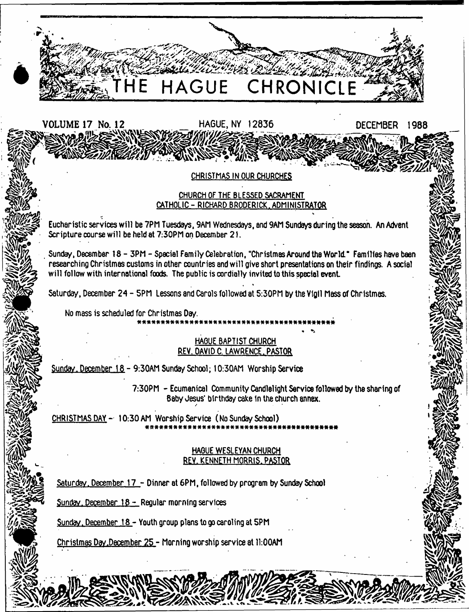

Sunday, December 18 - Youth group plans to go caroling at 5PM

Christmas Day .December 25 - Morning worship service at 11:00AM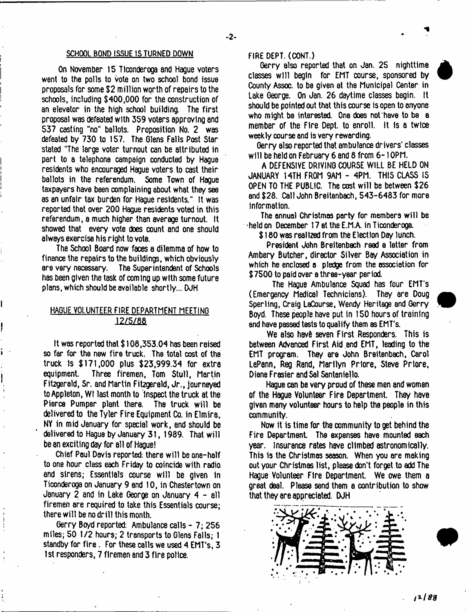#### SCHOOL BOND ISSUE IS TURNED DOWN

On November 15 Tlconderoga and Hague voters went to the polls to vote on two school bond issue proposals for some S2 million worth of repairs to the schools, including \$400,000 for the construction of an elevator in the high school building. The first proposal was defeated with 359 voters approving and 537 casting "no" ballots. Proposition No. 2 was defeated by 730 to 157. The Glens Falls Post Star stated "The large voter turnout can be attributed in part to a telephone campaign conducted by Hague residents who encouraged Hague voters to cast their ballots in the referendum. Some Town of Hague taxpayers have been complaining about what they see as an unfair tax burden for Hague residents." It was reported that over 200 Hague residents voted in this referendum, a much higher than average turnout. It showed that every vote does count and one should always exercise his right to vote.

The School Board now faces a dilemma of how to finance the repairs to the buildings, which obviously are very necessary. The Superintendent of Schools has been given the task of coming up with some future plans, which should be available shortly... DJH

# HAGUE VOLUNTEER FIRE DEPARTMENT MEETING 12/5/88

It was reported that \$ 108,353.04 has been raised so far for the new fire truck. The total cost of the truck Is \$171,000 plus \$23,999.34 for extra equipment. Three firemen, Tom Stull, Martin Fitzgerald, Sr. and Martin Fitzgerald, Jr., journeyed to Appleton, Wl last month to inspect the truck at the Pierce Pumper plant there. The truck will be delivered to the Tyler Fire Equipment Co. in Elmira, NY in mid January for special work, and should be delivered to Hague by January 31, 1989. That will be an exciting day for all of Hague!

Chief Paul Davis reported: there will be one-half to one hour class each Friday to coincide with radio and sirens; Essentials course will be given in Ticonderoga on January 9 and 10, in Chestertown on January 2 and in Lake George on January 4 - all firemen are required to take this Essentials course; there will be no drill this month.

Gerry Boyd reported: Ambulance calls - 7; 256 miles; 50 1/2 hours; 2 transports to Glens Falls; 1 standby for fire . For these calls we used 4 EMT's, 3 1st responders, 7 firemen and 3 fire police.

#### FIRE DEPT. (CONT.)

Gerry also reported that on Jan. 25 nighttime classes will begin for EMT course, sponsored by County Assoc, to be given at the Municipal Center in Lake George. On Jan. 26 daytime classes begin. It should be pointed out that this course is open to anyone who might be interested. One does not'have to be a member of the Fire Dept, to enroll. It is a twice weekly course and is very rewarding.

Gerry also reported that ambulance drivers' classes will be held on February 6 and 8 from 6-10PM.

A DEFENSIVE DRIVING COURSE WILL BE HELD ON JANUARY 14TH FROM 9AM - 4PM. THIS CLASS IS OPEN TO THE PUBLIC. The cost will be between \$26 and \$28. Call John Breitenbach, 543-6483 for more information.

The annual Christmas party for members will be held on December 17 st the E.MA in Ticonderoga.

\$ 180 was realized from the Election Day lunch.

President John Breitenbach read a letter from Ambery Butcher, director Silver Bay Association in which he enclosed a pledge from the association for \$7500 to paid over a three-year period.

The Hague Ambulance Squad has four EMT's (Emergency Medical Technicians). They are Doug Sperling, Craig LsCourse, Wendy Heritage and Gerry Boyd. These people have put in 150 hours of training and have passed tests to qualify them as EMT's.

We also have seven First Responders. This is between Advanced First Aid and EMT, leading to the EMT program. They are John Breitenbach, Carol LaPann, Reg Rand, Marilyn Prlore. Steve Priore. Diane Frasier and Sal Santaniello.

Hague can be very proud of these men and women of the Hague Volunteer Fire Department. They have given many volunteer hours to help the people in this community.

Now it is time for the community to get behind the Fire Department. The expenses have mounted each year. Insurance rates have climbed astronomically. This is the Christmas season. When you are making out your Christmas list, please don't forget to add The Hague Volunteer Fire Department. We owe them a great deal. Please send them e contribution to show that they are appreciated. DJH

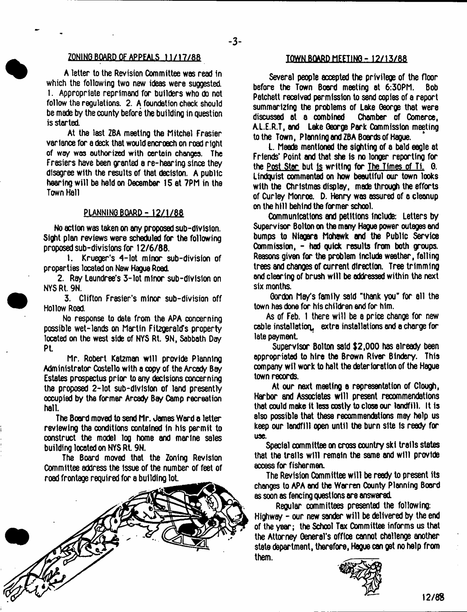### ZONING BOARD OF APPEALS 11/17/88

A letter to the Revision Committee was read in which the following two new ideas were suggested. I. Appropriate reprimand for builders who do not follow the regulations. 2. A foundation check should be made by the county before the building in question is started

At the last ZBA meeting the Mitchel Frasier variance for a deck that would encroach on road right of way was authorized with certain changes. The Frasiers have been granted a re-hearing since they disagree with the results of that decision. A public hearing w ill be held on December 15 at 7PM in the Town Hall

## PUNNING BOARD-12/1/88

No action was taken on any proposed sub-dlvlslon. Sight plan reviews were scheduled for the following proposed sub-divisions for 12/6/88.

I. Krueger's 4-lot minor sub-division of properties located on New Hague Road

2. Ray Laundree's 3-lot minor sub-division on NYSRt. 9N.

3. Clifton Frasier's minor sub-division off Hollow Road.

No response to date from the APA concerning possible wet-lends on Martin Fitzgerald's property located on the west side of NYS Rt. 9N, Sabbath Day Pi

Mr. Robert Katzman will provide Planning Administrator Costello with a copy of the Arcady Bay Estates prospectus prior to any decisions concerning the proposed 2-lot sub-division of land presently occupied by the former Arcady Bay Camp recreation hall.

The Board moved to send Mr. James Ward a tetter reviewing the conditions contained in his permit to construct the model log home and marine sales building located on NYSRt 9N.

The Board moved that the Zoning Revision Committee address the Issue of the number of feet of road frontage required for a building lot



## TOWN BOARD MEETING-12/13/88

Several people accepted the privilege of the floor before the Town Board meeting at 6:30PM. Bob Patchett received permission to send copies of a report summarizing the problems of Lake George that were<br>discussed at a combined Chamber of Comerce. Chamber of Comerce, A.L.E.R.T, and Lake George Park Commission meeting to the Town, Planning and ZBA Boards of Hague.

L. Meade mentioned the sighting of a bald eagle at Friends' Point and that she Is no longer reporting for the <u>Post Star</u> but is writing for The Times of Ti. 6. Lindquist commented on how beautiful our town looks with the Christmas display, made through the efforts of Curley Monroe. D. Henry was assured of a cleanup on the hill behind the former school.

Communications and petitions include: Letters by Supervisor Bolton on the many Hague power outages and bumps to Niagara Mohawk and the Public Service Commission, - had quick results from both groups. Reasons given for the problem include weather, falling trees and changes of current direction. Tree trimming and clearing of brush will be addressed within the next six months.

Gordon Ma/s family said "thank you" for all the town has done for his children and for him.

As of Feb. 1 there will be a price change for new cable installation, extra installations and a charge for late payment

Supervisor Bolton said \$2,000 has already been appropriated to hire the Brown River Bindery. This company wil work to halt the deterioration of the Hague town records.

At our next meeting a representation of Clough, Harbor and Associates will present recommendations that could make it less costly to close our landfill. It is also possible that these recommendations may help us keep our landfill open until the burn site Is ready for use.

Special committee on cross country ski trails states that the trails will remain the same and will provide access for fishermen.

The Revision Oommittee will be ready to present its changes to APA and the Warren County Planning Board as soon as fencing questions are answered.

Regular committees presented the following: Highway - our new sander will be delivered by the end of the year; the School Tax Oommittee informs us that the Attorney General's office cannot challenge another state department, therefore, Hague can get no help from them.

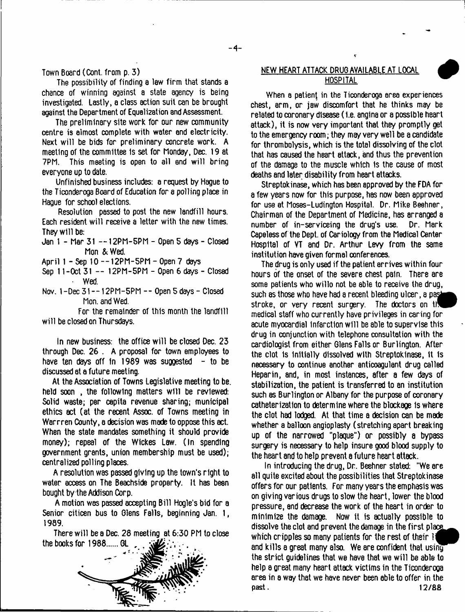Town Board (Cont. from p. 3)

The possibility of finding a law firm that stands a chance of winning against a state agency is being investigated. Lastly, a class action suit can be brought against the Department of Equalization and Assessment.

The preliminary site work for our new community centre is almost complete with water and electricity. Next will be bids for preliminary concrete work. A meeting of the committee 1s set for Monday, Dec. 19 at 7PM. This meeting is opsn to all and will bring everyone up to date.

Unfinished business includes: a request by Hague to the Ticonderoga Board of Education for 8 polling place in Hague for school elections.

Resolution passed to post the new landfill hours. Each resident will receive a letter with the new times. They will be:

- Jan 1 Mar 31 --1 2PM-5PM Open 5 days Closed Mon & Wed.
- April 1 Sep 10 --12PM-5PM Open 7 days

Sep 11 -Oct 31 -- 12PM-5PM - Open 6 days - Closed • Wed.

Nov. 1-Dec 31-- 12PM-5PM -- Open 5 days - Closed Mon. and Wed.

For the remainder of this month the landfill will be closed on Thursdays.

In new business: the office will be closed Dec. 23 through Dec. 26 . A proposal for town employees to have ten days off in 1989 was suggested  $-$  to be discussed at a future meeting.

At the Association of Towns Legislative meeting to be. held soon , the following matters will be reviewed: Solid waste; per capita revenue sharing; municipal ethics act (at the recent Assoc. of Towns meeting in Warrren County, a decision was made to oppose this act. When the state mandates something it should provide money); repeal of the Wickes Law. (In spending government grants, union membership must be used); centralized polling plsces.

A resolution was passed giving up the town's right to water access on The Beachside property. It has been bought by the Addison Corp.

A motion was passed accepting Bill Hogle's bid for a Senior citicen bus to Glens Falls, beginning Jan. 1, 1989.

There will be a Dec. 28 meeting at 6:30 PM to close the books for 1988...... GL



# NEW HEART ATTACK DRUG AVAILABLE AT LOCAL **HOSPITAL**

1

When a patient in the Ticonderoga area experiences chest, arm, or jaw discomfort that he thinks may be related to coronary disease (I.e. angina or a possible heart attack), it is now very important that they promptly get to the emergency room; they may very well be a candidate for thrombolysis, which is the total dissolving of the clot that has caused the heart attack, and thus the prevention of the damage to the muscle which is the cause of most deaths and later disability from heart attacks.

Streptokinase, which has been approved by the FDA for a few years now for this purpose, has now been approved for use at Moses-Ludington Hospital. Dr. Mike Beehner, Chairman of the Department of Medicine, has arranged a  $number of in–serving the drug's use.$ Capeless of the Dept, of Cariology from the Medical Center Hospital of VT and Dr. Arthur Levy from the same institution have given formal conferences.

The drug is only used if the patient arrives within four hours of the onset of the severe chest pain. There are some patients who willo not be able to receive the drug, such as those who have had a recent bleeding ulcer, a pag^^ stroke, or very recent surgery. The doctors on  $t \bar{t}$ medical staff who currently have privileges in caring for acute myocardial infarction will be able to supervise this drug in conjunction with telephone consultation with the cardiologist from either Glens Falls or Burlington. After the clot 1s Initially dissolved with Streptokinase, it is necessary to continue another anticoagulant drug called Heparin, and, in most instances, after a few days of stabilization, the patient is transferred to an institution such as Burlington or Albany for the purpose of coronary catheterization to determine where the blockage is where the clot had lodged. At that time a decision can be made whether a balloon angioplasty (stretching apart breaking up of the narrowed "plaque") or possibly a bypass surgery is necessary to help insure good blood supply to the heart and to help prevent a future heart attack.

In introducing the drug, Dr. Beehner stated: "We are all quite excited about the possibilities that Streptokinase offers for our patients. For many years the emphasis was on giving various drugs to slow the heart, lower the blood pressure, end decrease the work of the heart in order to minimize the damage. Now it is actually possible to dissolve the clot and prevent the damage in the first placg which cripples so many patients for the rest of their 1 and kills a great many also. We are confident that using the strict guidelines that we have that we will be able to help a great many heart attack victims in the Ticonderoga area in a way that we have never been able to offer in the past. 12/88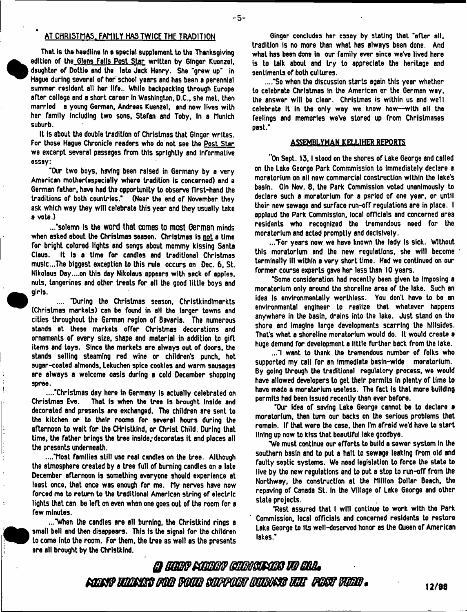# AT CHRISTMAS. FAMILY HAS TWICE THE TRADITION

That is the headline in a special supplement to the Thanksgiving edition of the Glens Falls Post Star written by 6lnger Kuenzel, daughter of Dottie and the late Jack Henry. She "grew up" in Hague during several of her school years and has been a perennial summer resident alt her life.. While backpacking through Europe after college and a short career In Washington, D.C., she met, then married a young German, Andreas Kuenzel, and now lives with her family Including two sons, Stefan and Toby, In a Munich suburb.

It Is about the double tradition of Christmas that Ginger writes. For those Hague Chronicle readers who do not see the Post Star we excerpt several passages from this sprightly and Informative essay:

'Our two boys, having been raised in Germany by a very American motherfespecielly where tradition is concerned) and a German father, have had the opportunity to observe first-hand the traditions of both countries." (Near the end of November they ask which way they wilt celebrate this year and they usually take a vote.)

...'solemn is the word that comes to most German minds when asked about the Christmas season. Christmas is not a time for bright colored lights and songs about mommy kissing Santa Claus. It Is a time for candles and traditional Christmas muslc...The biggest exception to this rule occurs on Dec. 6, St. Nikolaus Day....on this day Nikolaus appears with sack of apples, nuts, tangerines and other treats for all the good little boys and girls.

.... "During the Christmas season, Christkindlmarkts (Christmas markets) can be found in ell the larger towns and cities throughout the German region of Bavaria. The numerous stands at these markets offer Christmas decorations and ornaments of every size, shape and material in addition to gift items and toys. Since the markets are always out of doors, the stands selling steaming red wine or children's punch, hot sugar-coated almonds, Lekuchen spice cookies and warm sausages are always a welcome oasfs during a cold December shopping spree.

...."Christmas day here in Germany is actually celebrated on Christmas Eve. That is when the tree is brought inside and That is when the tree is brought inside and decorated and presents are exchanged. The children are sent to the kitchen or to their rooms for several hours during the afternoon to wait for the CHristkind, or Christ Child. During that time, the father brings the tree inside; decorates it and places all the presents underneath.

...."Most families still use real candles on the tree. Although the atmosphere created by a tree full of burning candles on a late December afternoon is something everyone should experience at least once, that once was enough for me. My nerves have now forced me to return to the traditional American string of electric lights that can be left on even when one goes out of the room for a few minutes.

..."When the candles are all burning, the Christkind rings a small bell and then disappears. This is the signal for the children to come Into the room. For them, the tree as well as the presents are all brought by the Christkind.

Ginger concludes her essay by slating that "after all, tradition is no more than what has always been done. And what has been done in our family ever since we've lived here is to talk about and try to appreciate the heritage and sentiments of both cultures.

...."So when the discussion starts again this year whether to celebrate Christmas In the American or the German way, the answer will be clear. Christmas is within us and well celebrate it In the only way we know how—with all the feelings and memories weVe stored up from Christmases past."

#### ASSEMBLYMAN KEIL1HER REPORTS

"On Sept. 13,1 stood on the shores of Lake George and called on the Lake George Park Commmission to Immediately declare a moratorium on all new commercial construction within the lake's basin. Oln Nov. 8, the Park Commission voted unanimously to declare such a moratorium for a period of one year, or until their new sewage and surface run-off regulations are in place. I applaud the Park Commission, local officials and concerned area residents who recognized the tremendous need for the moratorium and acted promptly and decisively.

..."For years now we have known the lady Is sick. Without this moratorium and the new regulations, she will become terminally ill within a very short time. Had we continued on our former course experts gave her less than 10 years.

'Some consideration had recently been given to imposing a moratorium only around the shoreline area of the lake. Such an idea is environmentally worthless. You don't have to be an environmental engineer to realize that whatever happens anywhere in the basin, drains into the lake. Just stand on the shore and Imagine large developments scarring the hillsides. That's what a shoreline moratorium would do. It would create a huge demand for development a little further back from the lake.

..."I want to thank the tremendous number of folks who supported my call for an Immediate bssln-wlde moratorium. By going through the traditional regulatory process, we would have allowed developers to get their permits In plenty of time to have made a moratorium useless. The fact Is that more building permits had been Issued recently than ever berore.

"Our Idea of saving Lake George cannot be to declare a moratorium, then turn our backs on the serious problems that remain. If that were the case, then I'm afraid we'd have to start lining up now to kiss that beautiful lake goodbye.

"We must continue our efforts to build a sewer system in the southern basin and to put a halt to sewage leaking from old and faulty septic systems. We need legislation to force the state to live by the new regulations and to put a stop to run-ofT from the Northway, the construction at the Million Dollar Beach, the repaving of Canada St. In the Village of Lake George and other state projects.

Test assured that I will continue to work with the Park Commission, local officials and concerned residents to restore Lake George to Its well-deserved honor as the Queen of American lakes."

*QBtmsmmsBmsasmmmm mmw&mmmBwmfflBmmm vmms.*

 $\mathbf{r}$ 

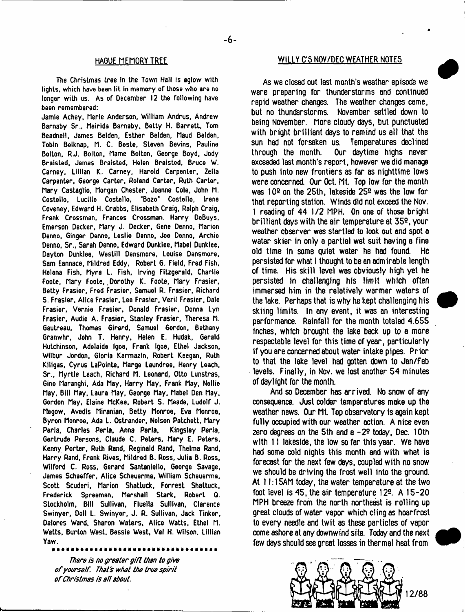#### HAGUE MEMORY TREE

The Christmas tree in the Town Hall is aglow with lights, which have been lit in memory of those who are no longer with us. As of December 12 the following have been remembered:

Jamie Achey, Merle Anderson, William Andrus, Andrew Barnaby Sr., Meirlda Barnaby, Betty H. Barrett, Tom Beadneil, James Belden, Esther Belden, Maud Belden, Tobin Belknap, M. C. Beste, Steven Bevins, Pauline Bolton, RJ. Bolton, Marne Bolton, George Boyd, Jody Braisled, James Braisted, Helen Braisted, Bruce W. Carney, Lillian K. Carney. Harold Carpenter, Zella Carpenter, George Carter, Roland Carter, Ruth Carter, Mary Castaglfo, Morgan Chester. Joanne Cole, John M. Costello, Lucille Costello, "Bozo\* Costello, Irene Coveney, Edward H. Crabbs, Elisabeth Craig, Ralph Craig, Frank Crossman, Frances Crossman. Harry DeBuys, Emerson Decker, Mary J. Decker, Gene Denno, Marion Denno, Ginger Denno, Leslie Denno, Joe Denno, Archie Denno, Sr., Sarah Denno, Edward Dunklee, Mabel Dunklee, Dayton Dunklee, Westill Densmore, Louise Densmore, Sam Eannace, Mildred Eddy, Robert 6. Field, Fred Fish, Helena Fish. Myra L. Fish, Irving Fitzgerald, Charlie Foote, Mary Foote, Dorothy K. Foote, Mary Frasier, Betty Frasier, Fred Frasier, Samuel R. Frasier, Richard S. Frasier, Alice Frasier, Lee Frasier, Veril Frasier, Dale Frasier, Vernie Frasier, Donald Frasier, Donna Lyn Frasier, Audie A. Frasier, Stanley Frasier. Theresa M. Gautreau, Thomas Girard, Samuel Gordon, Bethany Granwhr, John T. Henry, Helen E. Hudak, Gerald Hutchinson, Adelaide Igoa, Frank Igoe, Ethel Jackson, Wilbur Jordon. Gloria Karmazin, Robert Keegan, Ruth Kiligas, Cyrus LaPoinle, Marge Laundree, Henry Leach, Sr.. Myrtle Leach, Richard M. Leonard, Otto Lunstras, Gino Maranghi, Ada May, Harry May, Frank May, Kellie May, Bill May, Laura May, George May, Mabel Den May. Gordon May, Elaine McKee. Robert S. Meade, Ludolf J. Megow, Avedis Miranian, Betty Monroe, Eva Monroe. Byron Monroe, Ada L. Ostrander, Nelson Patchett, Mary Peria, Charles Perla, Anna Peria, Kingsley Peria, Gertrude Persons, Claude C. Peters, Mary E. Peters, Kenny Porter, Ruth Rand, Reginald Rand, Thelma Rand. Harry Rand, Frank Rives, Mildred B. Ross, Julia B. Ross, Wilford C. Ross, Gerard Santaniello, George Savage, James Schaeffer, Alice Scheuerma, William Scheuerma, Scott Scuderi, Marion Shattuck, Forrest Shattuck, Frederick Spreeman, Marshall Stark, Robert Q. Stockholm, Bill Sullivan, Fluella Sullivan. Clarence Swinyer. Doll L. Swinyer, J. R. Sullivan, Jack Tinker, Delores Ward, Sharon Waters, Alice Watts, Ethel M. Watts, Burton West. Bessie West, Val H. Wilson, Lillian Yaw.

*There is no greater gift than to give of yourself That's what the true spirit of Christinas is all about.*

## WILLY C'S NOV/DEC WEATHER NOTES

As we closed out last month's weather episode we were preparing for thunderstorms and continued rapid weather changes. The weather changes came, but no thunderstorms. November settled down to being November. More cloudy days, but punctuated with bright brilliant days to remind us all that the sun had not forsaken us. Temperatures declined<br>through the month. Our daytime highs never Our daytime highs never exceeded lest month's report, however we did manage to push into new frontiers as far as nighttime lows were concerned. Our Oct. Mt. Top low for the month was 10® on the 25th, lakeside 252 was the low for that reporting station. Winds did not exceed the Nov. 1 reading of 44 1/2 MPH. On one of those bright brilliant days with the air temperature at 35e, your weather observer was startled to look out and spot a water skier in only a partial wet suit having a fine old time In some quiet water he had found. He persisted for what I thought to be an admirable length of time. His skill level was obviously high yet he persisted in challenging his limit which often immersed him in the relatively warmer waters of the lake. Perhaps that is why he kept challenging his skiing limits. In any event, it was an interesting performance. Rainfall for the month totaled 4.655 inches, which brought the lake back up to a more respectable level for this time of year, particularly if you are concerned about water intake pipes. Prior to that the lake level had gotten down to Jan/Feb levels. Finally, in Nov. we lost another 54 minutes of daylight for the month.

And so December has arrived. No snow of any consequence. Just colder temperatures make up the weather news. Our Mt. Top observatory is again kept fully occupied with our weather action. A nice even zero degrees on the 5th and a -22 today, Dec. 10th with 11 lakeside, the low so far this year. We have had some cold nights this month and with what is forecast for the next few days, coupled with no snow we should be driving the frost well into the ground. At 11:1 SAM today, the water temperature at the two foot level is 45, the air temperature 12e. A 15-20 MPH breeze from the north northeast is rolling up great clouds of water vapor which cling as hoarfrost to every needle and twit as these particles of vapor come ashore at any downwind site. Today and the next few days should see great losses in thermal heat from



i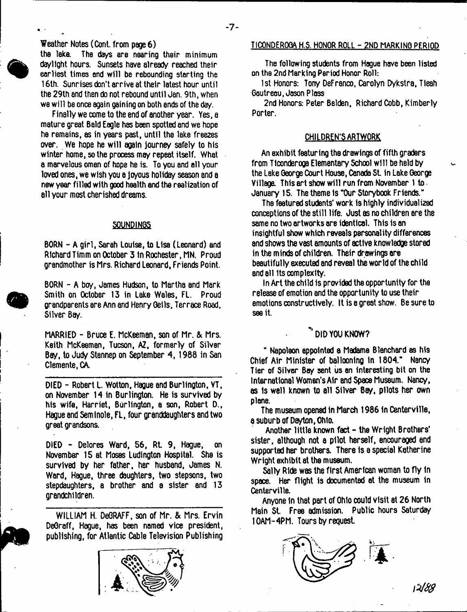Weather Notes (Cont. from page 6)

**%**

the lake. The days are nearing their minimum daylight hours. Sunsets have already reached their earliest times and will be rebounding starting the 16th. Sunrises don't arrive at their latest hour until the 29th and then do not rebound until Jan. 9th, when we will be once again gaining on both ends of the day.

Finally we come to the end of another year. Yes, a mature great Bald Eagle has been spotted and we hope ha remains, as in years past, until tha lake freezes over. We hope he will again journey safely to his winter home, so the process mey repeat itself. What a marvelous omen of hope he is. To you and all your loved ones, we wish you a Joyous holiday season and a new year filled with good health and the realization of all your most cherished dreams.

#### SOUNDINGS

BORN - A girl, Sarah Louise, to Lisa (Leonard) and Richard Timm on October 3 tn Rochester, MN. Proud grandmother is Mrs. Richard Leonard, Friends Point.

BORN - A boy, James Hudson, to Martha and Mark Smith on October 13 in Lake Wales, FL. Proud grandparents are Ann and Henry Geils. Terrace Road. Silver Bay,

MARRIED - Bruce E. McKeeman, son of Mr. & Mrs. Keith McKeeman, Tucson, AZ, formerly of Silver Bay, to Judy Stannep on September 4, 1988 in San Clemente, CA.

DIED - Robert L. Wotton, Hague and Burlington, VT. on November 14 in Burlington. He is survived by his wife, Harriet, Burlington, a son, Robert D., Hague and Seminole, FL, four granddaughters and two great grandsons.

DIED - Delores Ward, 56, Rt 9, Hague, on November 15 at Moses Ludington Hospital. Sha is survived by her father, her husband, James N. Ward, Hague, three daughters, two stepsons, two stepdaughters, a brother and a sister and 13 grandchildren.

WILLIAM H. DeGRAFF, son of Mr. & Mrs. Ervin DeGraff, Hague, has been named vice president, publishing, for Atlantic Cable Television Publishing



#### TICONDEROGA H.S. HONOR ROLL - 2ND MARKING PERIOD

The following students from Hague have been listed on the 2nd Marking Period Honor Roll:

1st Honors: Tony DeFranco, Carolyn Dykstra, Tieah Gautreau, Jason Plass

2nd Honors: Peter Belden, Richard Cobb, Kimberly Porter.

## CHILDREN'S ARTWORK

An exhibit featuring the drawings of fifth graders from Ticonderoga Elementary School will be held by the Lake George Court House, Canada St in Lake George Village. This art show will run from November 1 to January 15. The theme Is "Our Storybook Friends."

The featured students' work Is highly individualized conceptions of the still life. Just as no children are the same no two artworks are identical. This is an insightful show which reveals personality differences and shows the vast amounts of active knowledge stored in the minds of children. Their drawings are beautifully executed and reveal the world of the child and all its complexity.

In Art the child 1s provided the opportunity for the release of emotion and the opportunity to use their emotions constructively. It is a great show. Be sure to see it.

# " DID **YOU KNOW?**

" Napoleon appointed a Madame Blanchard as his Chief Air Minister of ballooning In 1804." Nancy Tier of Silver Bay sent us an interesting bit on the International Women's Air and Space Musaum. Nancy, as Is well known to all Silver Bay, pilots her own plane.

The museum opened in March 1986 In Centerville, a suburb of Dayton, Ohio.

Another little known fact - the Wright Brothers' sister, although not a pilot herself, encouraged end supported her brothers. There Is a special Katherine Wright exhibit at the museum.

Sally Ride was the first American woman to fly In space. Her flight is documented at the museum in Centerville.

Anyone in that part of Ohio could visit at 26 North Main St. Free admission. Public hours Saturday 10AM-4PM. Tours by request



*\ M 8*